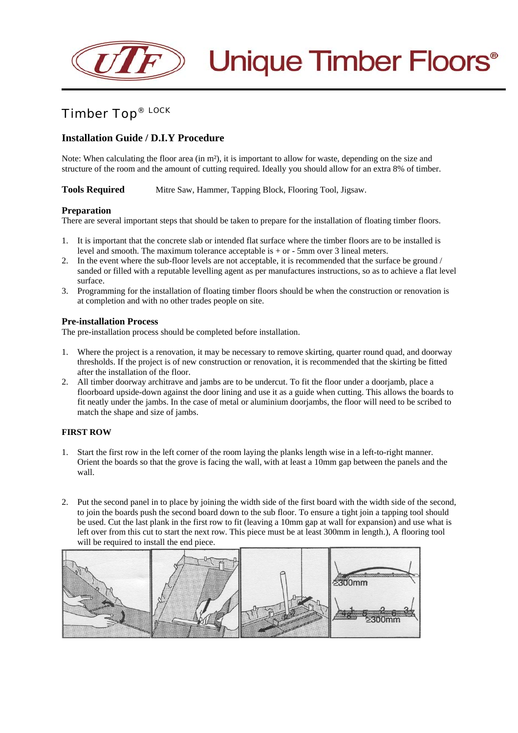

# Timber Top® LOCK

# **Installation Guide / D.I.Y Procedure**

Note: When calculating the floor area (in m²), it is important to allow for waste, depending on the size and structure of the room and the amount of cutting required. Ideally you should allow for an extra 8% of timber.

**Tools Required** Mitre Saw, Hammer, Tapping Block, Flooring Tool, Jigsaw.

### **Preparation**

There are several important steps that should be taken to prepare for the installation of floating timber floors.

- 1. It is important that the concrete slab or intended flat surface where the timber floors are to be installed is level and smooth. The maximum tolerance acceptable is + or - 5mm over 3 lineal meters.
- 2. In the event where the sub-floor levels are not acceptable, it is recommended that the surface be ground / sanded or filled with a reputable levelling agent as per manufactures instructions, so as to achieve a flat level surface.
- 3. Programming for the installation of floating timber floors should be when the construction or renovation is at completion and with no other trades people on site.

#### **Pre-installation Process**

The pre-installation process should be completed before installation.

- 1. Where the project is a renovation, it may be necessary to remove skirting, quarter round quad, and doorway thresholds. If the project is of new construction or renovation, it is recommended that the skirting be fitted after the installation of the floor.
- 2. All timber doorway architrave and jambs are to be undercut. To fit the floor under a doorjamb, place a floorboard upside-down against the door lining and use it as a guide when cutting. This allows the boards to fit neatly under the jambs. In the case of metal or aluminium doorjambs, the floor will need to be scribed to match the shape and size of jambs.

#### **FIRST ROW**

- 1. Start the first row in the left corner of the room laying the planks length wise in a left-to-right manner. Orient the boards so that the grove is facing the wall, with at least a 10mm gap between the panels and the wall.
- 2. Put the second panel in to place by joining the width side of the first board with the width side of the second, to join the boards push the second board down to the sub floor. To ensure a tight join a tapping tool should be used. Cut the last plank in the first row to fit (leaving a 10mm gap at wall for expansion) and use what is left over from this cut to start the next row. This piece must be at least 300mm in length.), A flooring tool will be required to install the end piece.